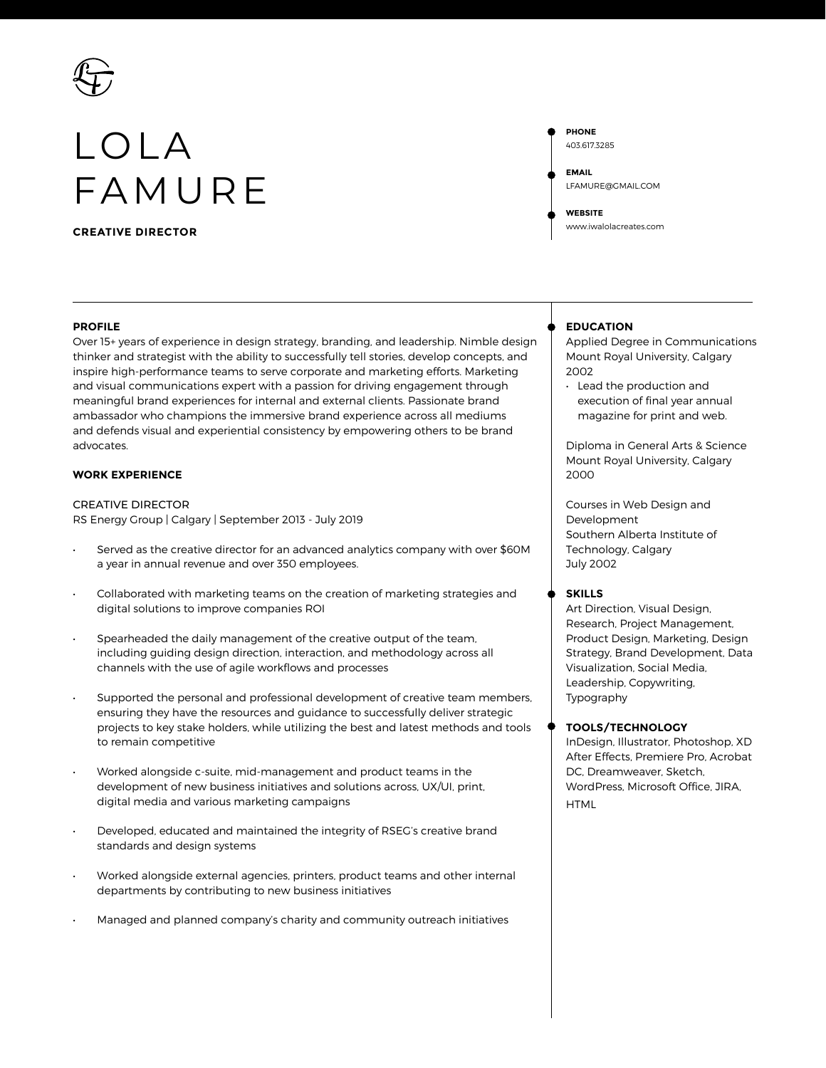

# LOLA FAMURE

**CREATIVE DIRECTOR**

# **PROFILE**

Over 15+ years of experience in design strategy, branding, and leadership. Nimble design thinker and strategist with the ability to successfully tell stories, develop concepts, and inspire high-performance teams to serve corporate and marketing efforts. Marketing and visual communications expert with a passion for driving engagement through meaningful brand experiences for internal and external clients. Passionate brand ambassador who champions the immersive brand experience across all mediums and defends visual and experiential consistency by empowering others to be brand advocates.

# **WORK EXPERIENCE**

CREATIVE DIRECTOR RS Energy Group | Calgary | September 2013 - July 2019

- Served as the creative director for an advanced analytics company with over \$60M a year in annual revenue and over 350 employees.
- Collaborated with marketing teams on the creation of marketing strategies and digital solutions to improve companies ROI
- Spearheaded the daily management of the creative output of the team, including guiding design direction, interaction, and methodology across all channels with the use of agile workflows and processes
- Supported the personal and professional development of creative team members, ensuring they have the resources and guidance to successfully deliver strategic projects to key stake holders, while utilizing the best and latest methods and tools to remain competitive
- Worked alongside c-suite, mid-management and product teams in the development of new business initiatives and solutions across, UX/UI, print, digital media and various marketing campaigns
- Developed, educated and maintained the integrity of RSEG's creative brand standards and design systems
- Worked alongside external agencies, printers, product teams and other internal departments by contributing to new business initiatives
- Managed and planned company's charity and community outreach initiatives

**PHONE** 403.617.3285 **EMAIL** LFAMURE@GMAIL.COM

**WEBSITE** www.iwalolacreates.com

# **EDUCATION**

Applied Degree in Communications Mount Royal University, Calgary 2002

• Lead the production and execution of final year annual magazine for print and web.

Diploma in General Arts & Science Mount Royal University, Calgary 2000

Courses in Web Design and Development Southern Alberta Institute of Technology, Calgary July 2002

## **SKILLS**

Art Direction, Visual Design, Research, Project Management, Product Design, Marketing, Design Strategy, Brand Development, Data Visualization, Social Media, Leadership, Copywriting, Typography

## **TOOLS/TECHNOLOGY**

InDesign, Illustrator, Photoshop, XD After Effects, Premiere Pro, Acrobat DC, Dreamweaver, Sketch, WordPress, Microsoft Office, JIRA, **HTML**